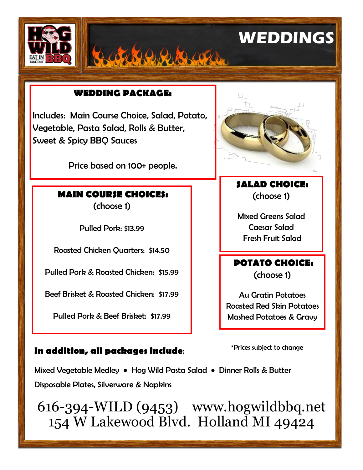

#### **WEDDING PACKAGE:**

Includes: Main Course Choice, Salad, Potato, Vegetable, Pasta Salad, Rolls & Butter, Sweet & Spicy BBQ Sauces

Price based on 100+ people.

# **MAIN COURSE CHOICES:**

(choose 1)

Pulled Pork: \$13.99

Roasted Chicken Quarters: \$14.50

Pulled Pork & Roasted Chicken: \$15.99

Beef Brisket & Roasted Chicken: \$17.99

Pulled Pork & Beef Brisket: \$17.99

#### **In addition, all packages include**:



**SALAD CHOICE:** (choose 1)

Mixed Greens Salad Caesar Salad Fresh Fruit Salad

### **POTATO CHOICE:**  (choose 1)

Au Gratin Potatoes Roasted Red Skin Potatoes Mashed Potatoes & Gravy

\*Prices subject to change

Mixed Vegetable Medley • Hog Wild Pasta Salad • Dinner Rolls & Butter Disposable Plates, Silverware & Napkins

616-394-WILD (9453) www.hogwildbbq.net 154 W Lakewood Blvd. Holland MI 49424